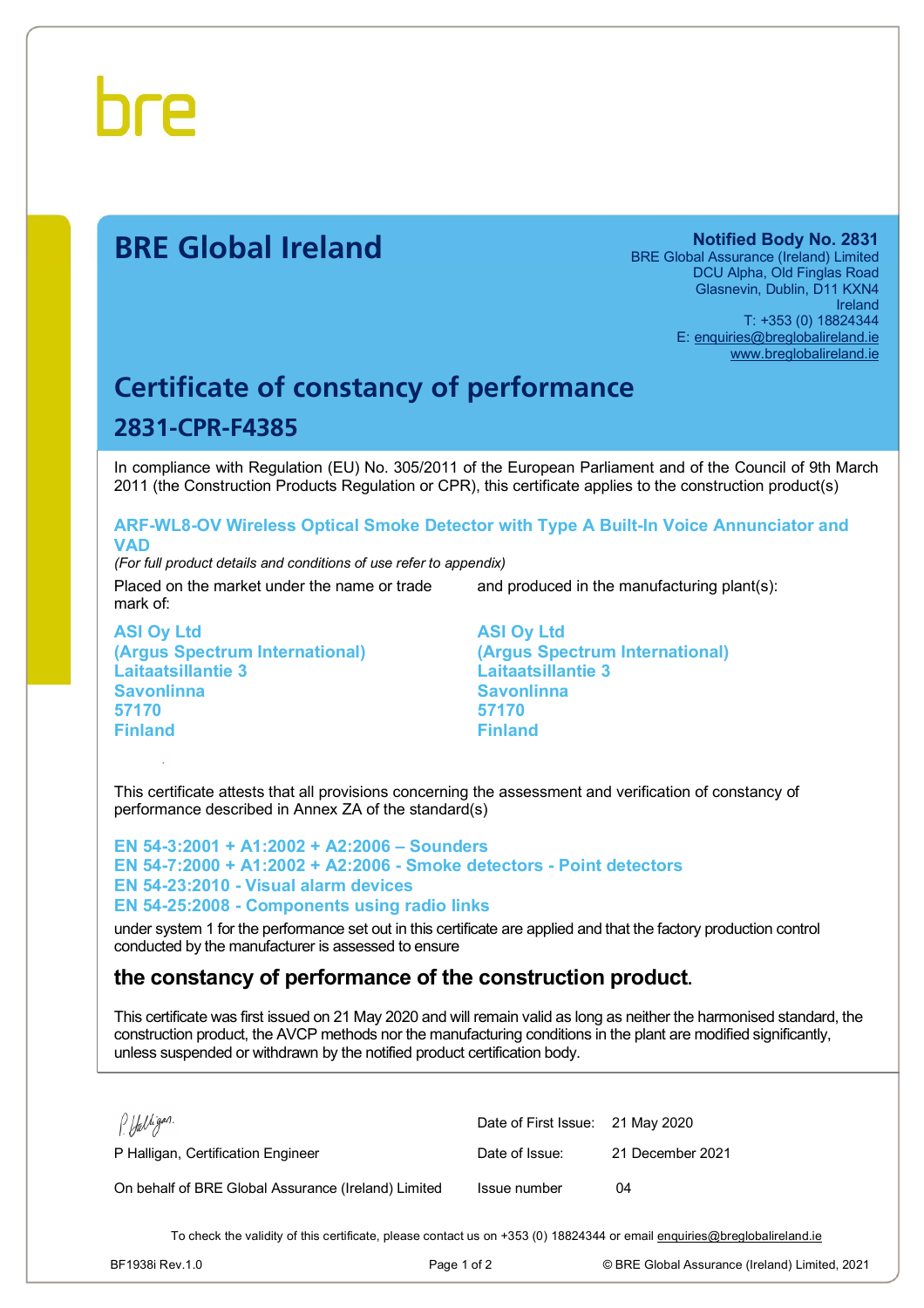

# **BRE Global Ireland Notified Body No. 2831**

BRE Global Assurance (Ireland) Limited DCU Alpha, Old Finglas Road Glasnevin, Dublin, D11 KXN4 Ireland T: +353 (0) 18824344 E: [enquiries@breglobalireland.ie](mailto:enquiries@breglobalireland.ie) [www.breglobalireland.ie](http://www.breglobalireland.ie)

# **Certificate of constancy of performance 2831-CPR-F4385**

In compliance with Regulation (EU) No. 305/2011 of the European Parliament and of the Council of 9th March 2011 (the Construction Products Regulation or CPR), this certificate applies to the construction product(s)

## **ARF-WL8-OV Wireless Optical Smoke Detector with Type A Built-In Voice Annunciator and VAD**

*(For full product details and conditions of use refer to appendix)* 

Placed on the market under the name or trade mark of:

and produced in the manufacturing plant(s):

**ASI Oy Ltd (Argus Spectrum International) Laitaatsillantie 3 Savonlinna 57170 Finland** 

**ASI Oy Ltd (Argus Spectrum International) Laitaatsillantie 3 Savonlinna 57170 Finland** 

This certificate attests that all provisions concerning the assessment and verification of constancy of performance described in Annex ZA of the standard(s)

**EN 54-3:2001 + A1:2002 + A2:2006 – Sounders EN 54-7:2000 + A1:2002 + A2:2006 - Smoke detectors - Point detectors EN 54-23:2010 - Visual alarm devices EN 54-25:2008 - Components using radio links** 

under system 1 for the performance set out in this certificate are applied and that the factory production control conducted by the manufacturer is assessed to ensure

# **the constancy of performance of the construction product.**

This certificate was first issued on 21 May 2020 and will remain valid as long as neither the harmonised standard, the construction product, the AVCP methods nor the manufacturing conditions in the plant are modified significantly, unless suspended or withdrawn by the notified product certification body.

| P. Halligan.                                        | Date of First Issue: 21 May 2020 |                  |
|-----------------------------------------------------|----------------------------------|------------------|
| P Halligan, Certification Engineer                  | Date of Issue:                   | 21 December 2021 |
| On behalf of BRE Global Assurance (Ireland) Limited | Issue number                     | 04               |

To check the validity of this certificate, please contact us on +353 (0) 18824344 or email [enquiries@breglobalireland.ie](mailto:enquiries@breglobalireland.ie)